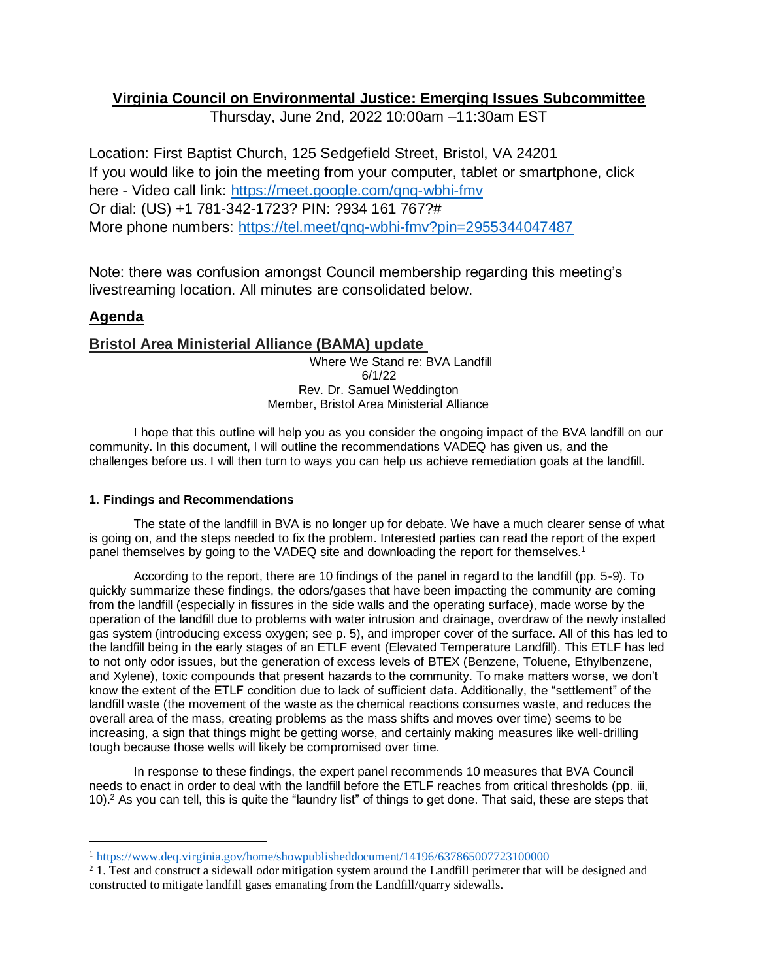# **Virginia Council on Environmental Justice: Emerging Issues Subcommittee**

Thursday, June 2nd, 2022 10:00am –11:30am EST

Location: First Baptist Church, 125 Sedgefield Street, Bristol, VA 24201 If you would like to join the meeting from your computer, tablet or smartphone, click here - Video call link:<https://meet.google.com/qnq-wbhi-fmv> Or dial: (US) +1 781-342-1723? PIN: ?934 161 767?# More phone numbers:<https://tel.meet/qnq-wbhi-fmv?pin=2955344047487>

Note: there was confusion amongst Council membership regarding this meeting's livestreaming location. All minutes are consolidated below.

# **Agenda**

## **Bristol Area Ministerial Alliance (BAMA) update**

Where We Stand re: BVA Landfill 6/1/22 Rev. Dr. Samuel Weddington Member, Bristol Area Ministerial Alliance

I hope that this outline will help you as you consider the ongoing impact of the BVA landfill on our community. In this document, I will outline the recommendations VADEQ has given us, and the challenges before us. I will then turn to ways you can help us achieve remediation goals at the landfill.

### **1. Findings and Recommendations**

The state of the landfill in BVA is no longer up for debate. We have a much clearer sense of what is going on, and the steps needed to fix the problem. Interested parties can read the report of the expert panel themselves by going to the VADEQ site and downloading the report for themselves.<sup>1</sup>

According to the report, there are 10 findings of the panel in regard to the landfill (pp. 5-9). To quickly summarize these findings, the odors/gases that have been impacting the community are coming from the landfill (especially in fissures in the side walls and the operating surface), made worse by the operation of the landfill due to problems with water intrusion and drainage, overdraw of the newly installed gas system (introducing excess oxygen; see p. 5), and improper cover of the surface. All of this has led to the landfill being in the early stages of an ETLF event (Elevated Temperature Landfill). This ETLF has led to not only odor issues, but the generation of excess levels of BTEX (Benzene, Toluene, Ethylbenzene, and Xylene), toxic compounds that present hazards to the community. To make matters worse, we don't know the extent of the ETLF condition due to lack of sufficient data. Additionally, the "settlement" of the landfill waste (the movement of the waste as the chemical reactions consumes waste, and reduces the overall area of the mass, creating problems as the mass shifts and moves over time) seems to be increasing, a sign that things might be getting worse, and certainly making measures like well-drilling tough because those wells will likely be compromised over time.

In response to these findings, the expert panel recommends 10 measures that BVA Council needs to enact in order to deal with the landfill before the ETLF reaches from critical thresholds (pp. iii, 10).<sup>2</sup> As you can tell, this is quite the "laundry list" of things to get done. That said, these are steps that

<sup>1</sup> <https://www.deq.virginia.gov/home/showpublisheddocument/14196/637865007723100000>

<sup>&</sup>lt;sup>2</sup> 1. Test and construct a sidewall odor mitigation system around the Landfill perimeter that will be designed and constructed to mitigate landfill gases emanating from the Landfill/quarry sidewalls.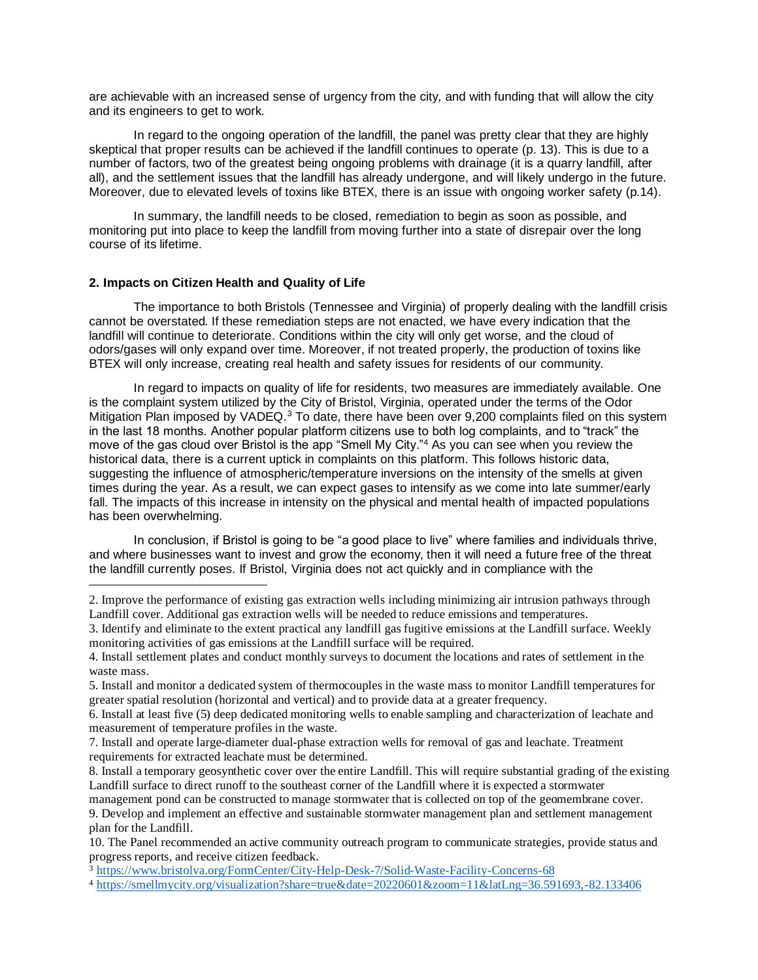are achievable with an increased sense of urgency from the city, and with funding that will allow the city and its engineers to get to work.

In regard to the ongoing operation of the landfill, the panel was pretty clear that they are highly skeptical that proper results can be achieved if the landfill continues to operate (p. 13). This is due to a number of factors, two of the greatest being ongoing problems with drainage (it is a quarry landfill, after all), and the settlement issues that the landfill has already undergone, and will likely undergo in the future. Moreover, due to elevated levels of toxins like BTEX, there is an issue with ongoing worker safety (p.14).

In summary, the landfill needs to be closed, remediation to begin as soon as possible, and monitoring put into place to keep the landfill from moving further into a state of disrepair over the long course of its lifetime.

#### **2. Impacts on Citizen Health and Quality of Life**

The importance to both Bristols (Tennessee and Virginia) of properly dealing with the landfill crisis cannot be overstated. If these remediation steps are not enacted, we have every indication that the landfill will continue to deteriorate. Conditions within the city will only get worse, and the cloud of odors/gases will only expand over time. Moreover, if not treated properly, the production of toxins like BTEX will only increase, creating real health and safety issues for residents of our community.

In regard to impacts on quality of life for residents, two measures are immediately available. One is the complaint system utilized by the City of Bristol, Virginia, operated under the terms of the Odor Mitigation Plan imposed by VADEQ.<sup>3</sup> To date, there have been over 9,200 complaints filed on this system in the last 18 months. Another popular platform citizens use to both log complaints, and to "track" the move of the gas cloud over Bristol is the app "Smell My City."<sup>4</sup> As you can see when you review the historical data, there is a current uptick in complaints on this platform. This follows historic data, suggesting the influence of atmospheric/temperature inversions on the intensity of the smells at given times during the year. As a result, we can expect gases to intensify as we come into late summer/early fall. The impacts of this increase in intensity on the physical and mental health of impacted populations has been overwhelming.

In conclusion, if Bristol is going to be "a good place to live" where families and individuals thrive, and where businesses want to invest and grow the economy, then it will need a future free of the threat the landfill currently poses. If Bristol, Virginia does not act quickly and in compliance with the

<sup>2.</sup> Improve the performance of existing gas extraction wells including minimizing air intrusion pathways through Landfill cover. Additional gas extraction wells will be needed to reduce emissions and temperatures.

<sup>3.</sup> Identify and eliminate to the extent practical any landfill gas fugitive emissions at the Landfill surface. Weekly monitoring activities of gas emissions at the Landfill surface will be required.

<sup>4.</sup> Install settlement plates and conduct monthly surveys to document the locations and rates of settlement in the waste mass.

<sup>5.</sup> Install and monitor a dedicated system of thermocouples in the waste mass to monitor Landfill temperatures for greater spatial resolution (horizontal and vertical) and to provide data at a greater frequency.

<sup>6.</sup> Install at least five (5) deep dedicated monitoring wells to enable sampling and characterization of leachate and measurement of temperature profiles in the waste.

<sup>7.</sup> Install and operate large-diameter dual-phase extraction wells for removal of gas and leachate. Treatment requirements for extracted leachate must be determined.

<sup>8.</sup> Install a temporary geosynthetic cover over the entire Landfill. This will require substantial grading of the existing Landfill surface to direct runoff to the southeast corner of the Landfill where it is expected a stormwater

management pond can be constructed to manage stormwater that is collected on top of the geomembrane cover. 9. Develop and implement an effective and sustainable stormwater management plan and settlement management plan for the Landfill.

<sup>10.</sup> The Panel recommended an active community outreach program to communicate strategies, provide status and progress reports, and receive citizen feedback.

<sup>3</sup> <https://www.bristolva.org/FormCenter/City-Help-Desk-7/Solid-Waste-Facility-Concerns-68>

<sup>4</sup> <https://smellmycity.org/visualization?share=true&date=20220601&zoom=11&latLng=36.591693,-82.133406>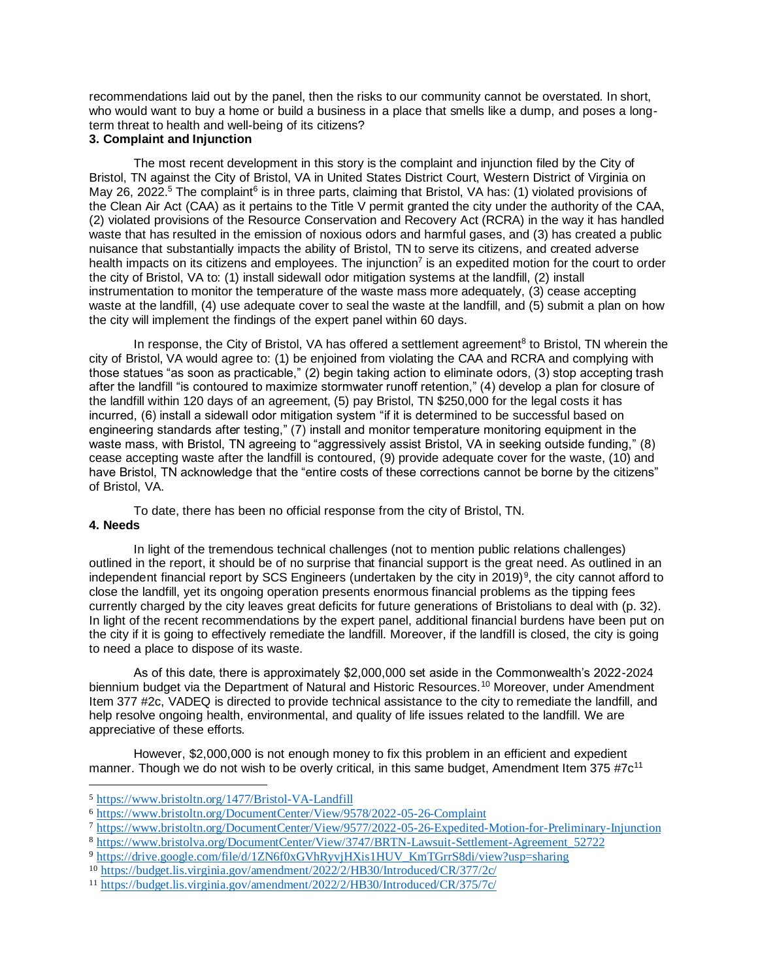recommendations laid out by the panel, then the risks to our community cannot be overstated. In short, who would want to buy a home or build a business in a place that smells like a dump, and poses a longterm threat to health and well-being of its citizens?

#### **3. Complaint and Injunction**

The most recent development in this story is the complaint and injunction filed by the City of Bristol, TN against the City of Bristol, VA in United States District Court, Western District of Virginia on May 26, 2022.<sup>5</sup> The complaint<sup>6</sup> is in three parts, claiming that Bristol, VA has: (1) violated provisions of the Clean Air Act (CAA) as it pertains to the Title V permit granted the city under the authority of the CAA, (2) violated provisions of the Resource Conservation and Recovery Act (RCRA) in the way it has handled waste that has resulted in the emission of noxious odors and harmful gases, and (3) has created a public nuisance that substantially impacts the ability of Bristol, TN to serve its citizens, and created adverse health impacts on its citizens and employees. The injunction<sup>7</sup> is an expedited motion for the court to order the city of Bristol, VA to: (1) install sidewall odor mitigation systems at the landfill, (2) install instrumentation to monitor the temperature of the waste mass more adequately, (3) cease accepting waste at the landfill, (4) use adequate cover to seal the waste at the landfill, and (5) submit a plan on how the city will implement the findings of the expert panel within 60 days.

In response, the City of Bristol, VA has offered a settlement agreement<sup>8</sup> to Bristol, TN wherein the city of Bristol, VA would agree to: (1) be enjoined from violating the CAA and RCRA and complying with those statues "as soon as practicable," (2) begin taking action to eliminate odors, (3) stop accepting trash after the landfill "is contoured to maximize stormwater runoff retention," (4) develop a plan for closure of the landfill within 120 days of an agreement, (5) pay Bristol, TN \$250,000 for the legal costs it has incurred, (6) install a sidewall odor mitigation system "if it is determined to be successful based on engineering standards after testing," (7) install and monitor temperature monitoring equipment in the waste mass, with Bristol, TN agreeing to "aggressively assist Bristol, VA in seeking outside funding," (8) cease accepting waste after the landfill is contoured, (9) provide adequate cover for the waste, (10) and have Bristol, TN acknowledge that the "entire costs of these corrections cannot be borne by the citizens" of Bristol, VA.

To date, there has been no official response from the city of Bristol, TN.

## **4. Needs**

In light of the tremendous technical challenges (not to mention public relations challenges) outlined in the report, it should be of no surprise that financial support is the great need. As outlined in an independent financial report by SCS Engineers (undertaken by the city in 2019)<sup>9</sup>, the city cannot afford to close the landfill, yet its ongoing operation presents enormous financial problems as the tipping fees currently charged by the city leaves great deficits for future generations of Bristolians to deal with (p. 32). In light of the recent recommendations by the expert panel, additional financial burdens have been put on the city if it is going to effectively remediate the landfill. Moreover, if the landfill is closed, the city is going to need a place to dispose of its waste.

As of this date, there is approximately \$2,000,000 set aside in the Commonwealth's 2022-2024 biennium budget via the Department of Natural and Historic Resources.<sup>10</sup> Moreover, under Amendment Item 377 #2c, VADEQ is directed to provide technical assistance to the city to remediate the landfill, and help resolve ongoing health, environmental, and quality of life issues related to the landfill. We are appreciative of these efforts.

However, \$2,000,000 is not enough money to fix this problem in an efficient and expedient manner. Though we do not wish to be overly critical, in this same budget, Amendment Item 375  $\text{\textsterling}7$ c<sup>11</sup>

<sup>5</sup> <https://www.bristoltn.org/1477/Bristol-VA-Landfill>

<sup>6</sup> <https://www.bristoltn.org/DocumentCenter/View/9578/2022-05-26-Complaint>

<sup>7</sup> <https://www.bristoltn.org/DocumentCenter/View/9577/2022-05-26-Expedited-Motion-for-Preliminary-Injunction>

<sup>8</sup> [https://www.bristolva.org/DocumentCenter/View/3747/BRTN-Lawsuit-Settlement-Agreement\\_52722](https://www.bristolva.org/DocumentCenter/View/3747/BRTN-Lawsuit-Settlement-Agreement_52722)

<sup>9</sup> [https://drive.google.com/file/d/1ZN6f0xGVhRyvjHXis1HUV\\_KmTGrrS8di/view?usp=sharing](https://drive.google.com/file/d/1ZN6f0xGVhRyvjHXis1HUV_KmTGrrS8di/view?usp=sharing)

<sup>10</sup> <https://budget.lis.virginia.gov/amendment/2022/2/HB30/Introduced/CR/377/2c/>

<sup>11</sup> <https://budget.lis.virginia.gov/amendment/2022/2/HB30/Introduced/CR/375/7c/>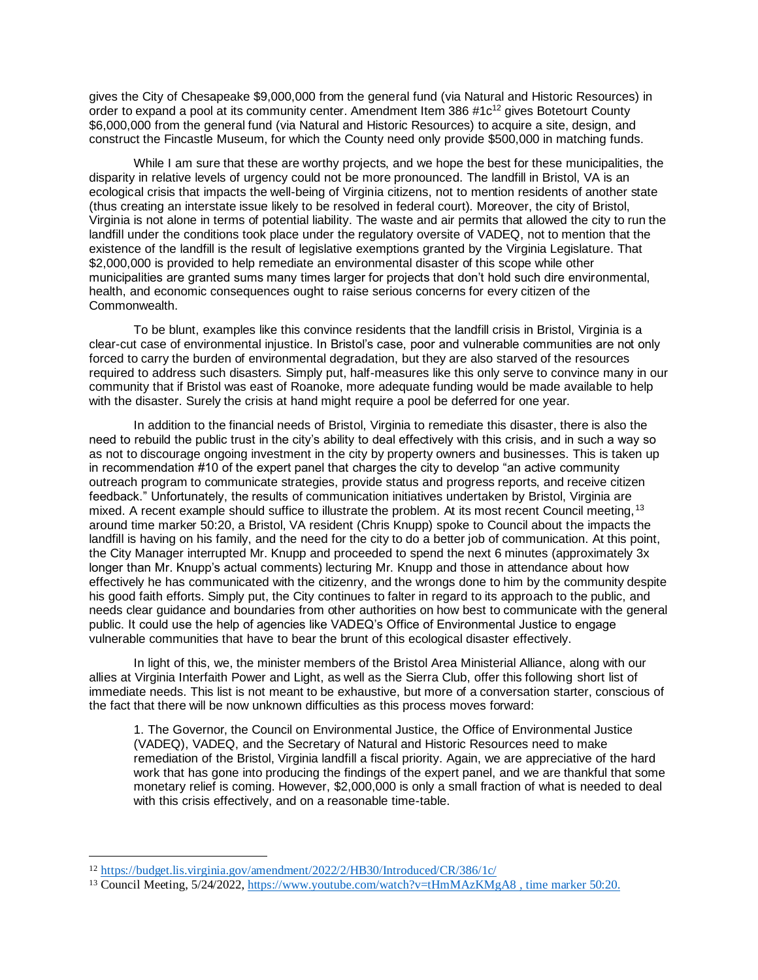gives the City of Chesapeake \$9,000,000 from the general fund (via Natural and Historic Resources) in order to expand a pool at its community center. Amendment Item 386 #1c<sup>12</sup> gives Botetourt County \$6,000,000 from the general fund (via Natural and Historic Resources) to acquire a site, design, and construct the Fincastle Museum, for which the County need only provide \$500,000 in matching funds.

While I am sure that these are worthy projects, and we hope the best for these municipalities, the disparity in relative levels of urgency could not be more pronounced. The landfill in Bristol, VA is an ecological crisis that impacts the well-being of Virginia citizens, not to mention residents of another state (thus creating an interstate issue likely to be resolved in federal court). Moreover, the city of Bristol, Virginia is not alone in terms of potential liability. The waste and air permits that allowed the city to run the landfill under the conditions took place under the regulatory oversite of VADEQ, not to mention that the existence of the landfill is the result of legislative exemptions granted by the Virginia Legislature. That \$2,000,000 is provided to help remediate an environmental disaster of this scope while other municipalities are granted sums many times larger for projects that don't hold such dire environmental, health, and economic consequences ought to raise serious concerns for every citizen of the Commonwealth.

To be blunt, examples like this convince residents that the landfill crisis in Bristol, Virginia is a clear-cut case of environmental injustice. In Bristol's case, poor and vulnerable communities are not only forced to carry the burden of environmental degradation, but they are also starved of the resources required to address such disasters. Simply put, half-measures like this only serve to convince many in our community that if Bristol was east of Roanoke, more adequate funding would be made available to help with the disaster. Surely the crisis at hand might require a pool be deferred for one year.

In addition to the financial needs of Bristol, Virginia to remediate this disaster, there is also the need to rebuild the public trust in the city's ability to deal effectively with this crisis, and in such a way so as not to discourage ongoing investment in the city by property owners and businesses. This is taken up in recommendation #10 of the expert panel that charges the city to develop "an active community outreach program to communicate strategies, provide status and progress reports, and receive citizen feedback." Unfortunately, the results of communication initiatives undertaken by Bristol, Virginia are mixed. A recent example should suffice to illustrate the problem. At its most recent Council meeting, 13 around time marker 50:20, a Bristol, VA resident (Chris Knupp) spoke to Council about the impacts the landfill is having on his family, and the need for the city to do a better job of communication. At this point, the City Manager interrupted Mr. Knupp and proceeded to spend the next 6 minutes (approximately 3x longer than Mr. Knupp's actual comments) lecturing Mr. Knupp and those in attendance about how effectively he has communicated with the citizenry, and the wrongs done to him by the community despite his good faith efforts. Simply put, the City continues to falter in regard to its approach to the public, and needs clear guidance and boundaries from other authorities on how best to communicate with the general public. It could use the help of agencies like VADEQ's Office of Environmental Justice to engage vulnerable communities that have to bear the brunt of this ecological disaster effectively.

In light of this, we, the minister members of the Bristol Area Ministerial Alliance, along with our allies at Virginia Interfaith Power and Light, as well as the Sierra Club, offer this following short list of immediate needs. This list is not meant to be exhaustive, but more of a conversation starter, conscious of the fact that there will be now unknown difficulties as this process moves forward:

1. The Governor, the Council on Environmental Justice, the Office of Environmental Justice (VADEQ), VADEQ, and the Secretary of Natural and Historic Resources need to make remediation of the Bristol, Virginia landfill a fiscal priority. Again, we are appreciative of the hard work that has gone into producing the findings of the expert panel, and we are thankful that some monetary relief is coming. However, \$2,000,000 is only a small fraction of what is needed to deal with this crisis effectively, and on a reasonable time-table.

<sup>12</sup> <https://budget.lis.virginia.gov/amendment/2022/2/HB30/Introduced/CR/386/1c/>

<sup>13</sup> Council Meeting, 5/24/2022, <https://www.youtube.com/watch?v=tHmMAzKMgA8> , time marker 50:20.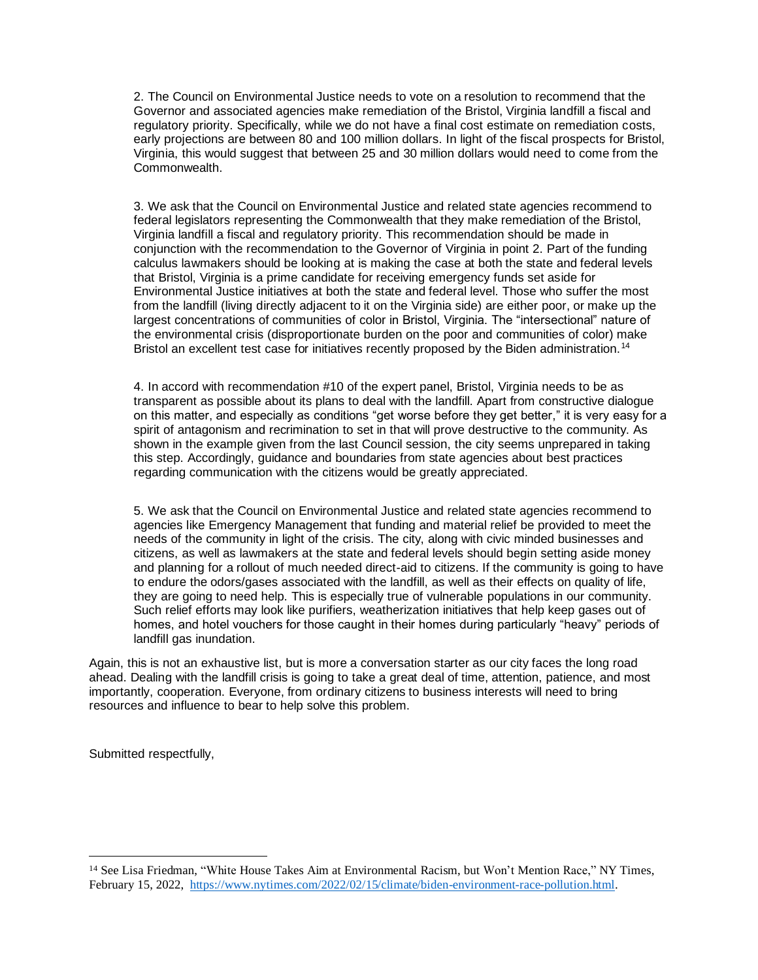2. The Council on Environmental Justice needs to vote on a resolution to recommend that the Governor and associated agencies make remediation of the Bristol, Virginia landfill a fiscal and regulatory priority. Specifically, while we do not have a final cost estimate on remediation costs, early projections are between 80 and 100 million dollars. In light of the fiscal prospects for Bristol, Virginia, this would suggest that between 25 and 30 million dollars would need to come from the Commonwealth.

3. We ask that the Council on Environmental Justice and related state agencies recommend to federal legislators representing the Commonwealth that they make remediation of the Bristol, Virginia landfill a fiscal and regulatory priority. This recommendation should be made in conjunction with the recommendation to the Governor of Virginia in point 2. Part of the funding calculus lawmakers should be looking at is making the case at both the state and federal levels that Bristol, Virginia is a prime candidate for receiving emergency funds set aside for Environmental Justice initiatives at both the state and federal level. Those who suffer the most from the landfill (living directly adjacent to it on the Virginia side) are either poor, or make up the largest concentrations of communities of color in Bristol, Virginia. The "intersectional" nature of the environmental crisis (disproportionate burden on the poor and communities of color) make Bristol an excellent test case for initiatives recently proposed by the Biden administration.<sup>14</sup>

4. In accord with recommendation #10 of the expert panel, Bristol, Virginia needs to be as transparent as possible about its plans to deal with the landfill. Apart from constructive dialogue on this matter, and especially as conditions "get worse before they get better," it is very easy for a spirit of antagonism and recrimination to set in that will prove destructive to the community. As shown in the example given from the last Council session, the city seems unprepared in taking this step. Accordingly, guidance and boundaries from state agencies about best practices regarding communication with the citizens would be greatly appreciated.

5. We ask that the Council on Environmental Justice and related state agencies recommend to agencies like Emergency Management that funding and material relief be provided to meet the needs of the community in light of the crisis. The city, along with civic minded businesses and citizens, as well as lawmakers at the state and federal levels should begin setting aside money and planning for a rollout of much needed direct-aid to citizens. If the community is going to have to endure the odors/gases associated with the landfill, as well as their effects on quality of life, they are going to need help. This is especially true of vulnerable populations in our community. Such relief efforts may look like purifiers, weatherization initiatives that help keep gases out of homes, and hotel vouchers for those caught in their homes during particularly "heavy" periods of landfill gas inundation.

Again, this is not an exhaustive list, but is more a conversation starter as our city faces the long road ahead. Dealing with the landfill crisis is going to take a great deal of time, attention, patience, and most importantly, cooperation. Everyone, from ordinary citizens to business interests will need to bring resources and influence to bear to help solve this problem.

Submitted respectfully,

<sup>&</sup>lt;sup>14</sup> See Lisa Friedman, "White House Takes Aim at Environmental Racism, but Won't Mention Race," NY Times, February 15, 2022, [https://www.nytimes.com/2022/02/15/climate/biden-environment-race-pollution.html.](https://www.nytimes.com/2022/02/15/climate/biden-environment-race-pollution.html)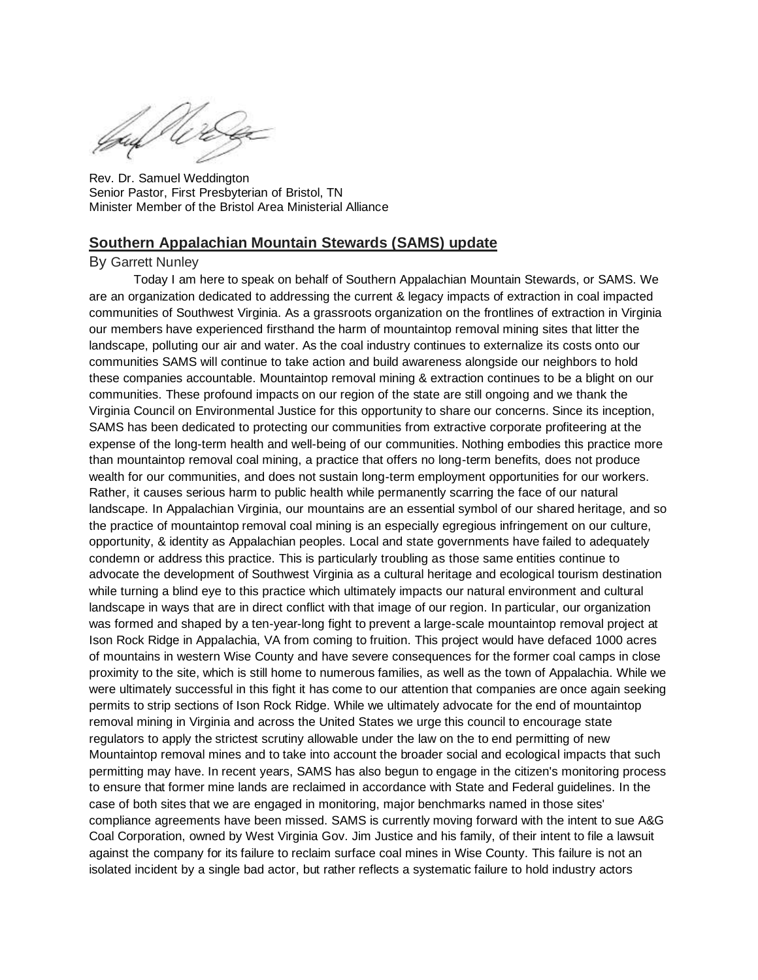ufWir

Rev. Dr. Samuel Weddington Senior Pastor, First Presbyterian of Bristol, TN Minister Member of the Bristol Area Ministerial Alliance

#### **Southern Appalachian Mountain Stewards (SAMS) update**

### By Garrett Nunley

Today I am here to speak on behalf of Southern Appalachian Mountain Stewards, or SAMS. We are an organization dedicated to addressing the current & legacy impacts of extraction in coal impacted communities of Southwest Virginia. As a grassroots organization on the frontlines of extraction in Virginia our members have experienced firsthand the harm of mountaintop removal mining sites that litter the landscape, polluting our air and water. As the coal industry continues to externalize its costs onto our communities SAMS will continue to take action and build awareness alongside our neighbors to hold these companies accountable. Mountaintop removal mining & extraction continues to be a blight on our communities. These profound impacts on our region of the state are still ongoing and we thank the Virginia Council on Environmental Justice for this opportunity to share our concerns. Since its inception, SAMS has been dedicated to protecting our communities from extractive corporate profiteering at the expense of the long-term health and well-being of our communities. Nothing embodies this practice more than mountaintop removal coal mining, a practice that offers no long-term benefits, does not produce wealth for our communities, and does not sustain long-term employment opportunities for our workers. Rather, it causes serious harm to public health while permanently scarring the face of our natural landscape. In Appalachian Virginia, our mountains are an essential symbol of our shared heritage, and so the practice of mountaintop removal coal mining is an especially egregious infringement on our culture, opportunity, & identity as Appalachian peoples. Local and state governments have failed to adequately condemn or address this practice. This is particularly troubling as those same entities continue to advocate the development of Southwest Virginia as a cultural heritage and ecological tourism destination while turning a blind eye to this practice which ultimately impacts our natural environment and cultural landscape in ways that are in direct conflict with that image of our region. In particular, our organization was formed and shaped by a ten-year-long fight to prevent a large-scale mountaintop removal project at Ison Rock Ridge in Appalachia, VA from coming to fruition. This project would have defaced 1000 acres of mountains in western Wise County and have severe consequences for the former coal camps in close proximity to the site, which is still home to numerous families, as well as the town of Appalachia. While we were ultimately successful in this fight it has come to our attention that companies are once again seeking permits to strip sections of Ison Rock Ridge. While we ultimately advocate for the end of mountaintop removal mining in Virginia and across the United States we urge this council to encourage state regulators to apply the strictest scrutiny allowable under the law on the to end permitting of new Mountaintop removal mines and to take into account the broader social and ecological impacts that such permitting may have. In recent years, SAMS has also begun to engage in the citizen's monitoring process to ensure that former mine lands are reclaimed in accordance with State and Federal guidelines. In the case of both sites that we are engaged in monitoring, major benchmarks named in those sites' compliance agreements have been missed. SAMS is currently moving forward with the intent to sue A&G Coal Corporation, owned by West Virginia Gov. Jim Justice and his family, of their intent to file a lawsuit against the company for its failure to reclaim surface coal mines in Wise County. This failure is not an isolated incident by a single bad actor, but rather reflects a systematic failure to hold industry actors